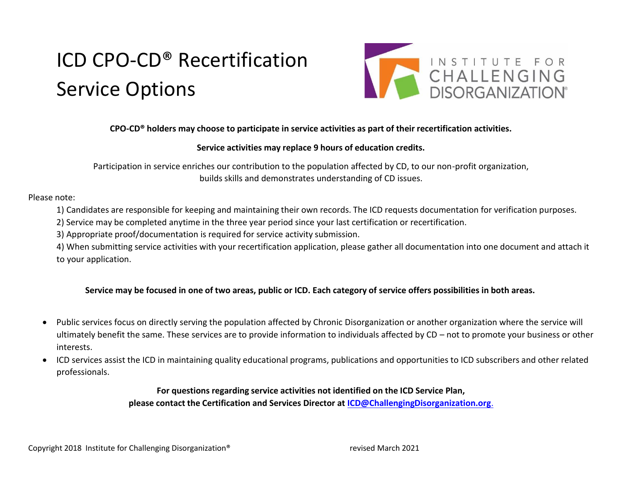# ICD CPO-CD® Recertification Service Options



## **CPO-CD® holders may choose to participate in service activities as part of their recertification activities.**

#### **Service activities may replace 9 hours of education credits.**

Participation in service enriches our contribution to the population affected by CD, to our non-profit organization, builds skills and demonstrates understanding of CD issues.

#### Please note:

- 1) Candidates are responsible for keeping and maintaining their own records. The ICD requests documentation for verification purposes.
- 2) Service may be completed anytime in the three year period since your last certification or recertification.
- 3) Appropriate proof/documentation is required for service activity submission.

4) When submitting service activities with your recertification application, please gather all documentation into one document and attach it to your application.

### Service may be focused in one of two areas, public or ICD. Each category of service offers possibilities in both areas.

- Public services focus on directly serving the population affected by Chronic Disorganization or another organization where the service will ultimately benefit the same. These services are to provide information to individuals affected by CD – not to promote your business or other interests.
- ICD services assist the ICD in maintaining quality educational programs, publications and opportunities to ICD subscribers and other related professionals.

## **For questions regarding service activities not identified on the ICD Service Plan, please contact the Certification and Services Director at [ICD@ChallengingDisorganization.org](mailto:ICD@ChallengingDisorganization.org.)**.